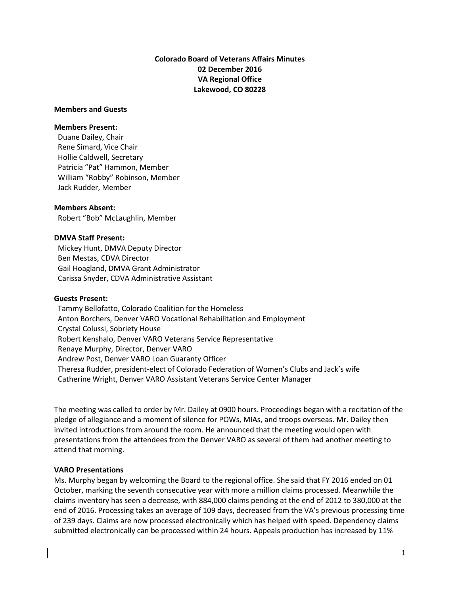# **Colorado Board of Veterans Affairs Minutes 02 December 2016 VA Regional Office Lakewood, CO 80228**

### **Members and Guests**

#### **Members Present:**

Duane Dailey, Chair Rene Simard, Vice Chair Hollie Caldwell, Secretary Patricia "Pat" Hammon, Member William "Robby" Robinson, Member Jack Rudder, Member

#### **Members Absent:**

Robert "Bob" McLaughlin, Member

### **DMVA Staff Present:**

 Mickey Hunt, DMVA Deputy Director Ben Mestas, CDVA Director Gail Hoagland, DMVA Grant Administrator Carissa Snyder, CDVA Administrative Assistant

#### **Guests Present:**

Tammy Bellofatto, Colorado Coalition for the Homeless Anton Borchers, Denver VARO Vocational Rehabilitation and Employment Crystal Colussi, Sobriety House Robert Kenshalo, Denver VARO Veterans Service Representative Renaye Murphy, Director, Denver VARO Andrew Post, Denver VARO Loan Guaranty Officer Theresa Rudder, president-elect of Colorado Federation of Women's Clubs and Jack's wife Catherine Wright, Denver VARO Assistant Veterans Service Center Manager

The meeting was called to order by Mr. Dailey at 0900 hours. Proceedings began with a recitation of the pledge of allegiance and a moment of silence for POWs, MIAs, and troops overseas. Mr. Dailey then invited introductions from around the room. He announced that the meeting would open with presentations from the attendees from the Denver VARO as several of them had another meeting to attend that morning.

#### **VARO Presentations**

Ms. Murphy began by welcoming the Board to the regional office. She said that FY 2016 ended on 01 October, marking the seventh consecutive year with more a million claims processed. Meanwhile the claims inventory has seen a decrease, with 884,000 claims pending at the end of 2012 to 380,000 at the end of 2016. Processing takes an average of 109 days, decreased from the VA's previous processing time of 239 days. Claims are now processed electronically which has helped with speed. Dependency claims submitted electronically can be processed within 24 hours. Appeals production has increased by 11%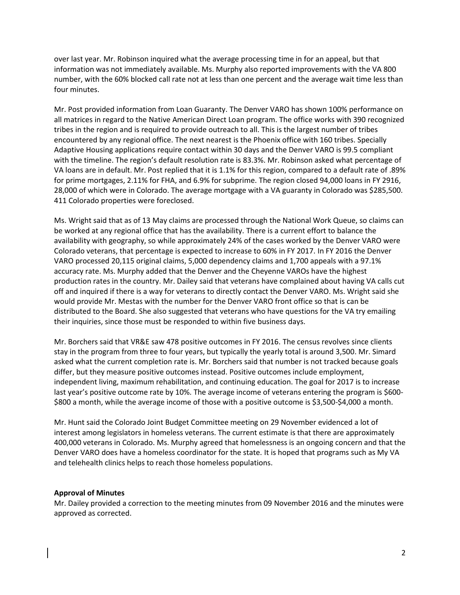over last year. Mr. Robinson inquired what the average processing time in for an appeal, but that information was not immediately available. Ms. Murphy also reported improvements with the VA 800 number, with the 60% blocked call rate not at less than one percent and the average wait time less than four minutes.

Mr. Post provided information from Loan Guaranty. The Denver VARO has shown 100% performance on all matrices in regard to the Native American Direct Loan program. The office works with 390 recognized tribes in the region and is required to provide outreach to all. This is the largest number of tribes encountered by any regional office. The next nearest is the Phoenix office with 160 tribes. Specially Adaptive Housing applications require contact within 30 days and the Denver VARO is 99.5 compliant with the timeline. The region's default resolution rate is 83.3%. Mr. Robinson asked what percentage of VA loans are in default. Mr. Post replied that it is 1.1% for this region, compared to a default rate of .89% for prime mortgages, 2.11% for FHA, and 6.9% for subprime. The region closed 94,000 loans in FY 2916, 28,000 of which were in Colorado. The average mortgage with a VA guaranty in Colorado was \$285,500. 411 Colorado properties were foreclosed.

Ms. Wright said that as of 13 May claims are processed through the National Work Queue, so claims can be worked at any regional office that has the availability. There is a current effort to balance the availability with geography, so while approximately 24% of the cases worked by the Denver VARO were Colorado veterans, that percentage is expected to increase to 60% in FY 2017. In FY 2016 the Denver VARO processed 20,115 original claims, 5,000 dependency claims and 1,700 appeals with a 97.1% accuracy rate. Ms. Murphy added that the Denver and the Cheyenne VAROs have the highest production rates in the country. Mr. Dailey said that veterans have complained about having VA calls cut off and inquired if there is a way for veterans to directly contact the Denver VARO. Ms. Wright said she would provide Mr. Mestas with the number for the Denver VARO front office so that is can be distributed to the Board. She also suggested that veterans who have questions for the VA try emailing their inquiries, since those must be responded to within five business days.

Mr. Borchers said that VR&E saw 478 positive outcomes in FY 2016. The census revolves since clients stay in the program from three to four years, but typically the yearly total is around 3,500. Mr. Simard asked what the current completion rate is. Mr. Borchers said that number is not tracked because goals differ, but they measure positive outcomes instead. Positive outcomes include employment, independent living, maximum rehabilitation, and continuing education. The goal for 2017 is to increase last year's positive outcome rate by 10%. The average income of veterans entering the program is \$600- \$800 a month, while the average income of those with a positive outcome is \$3,500-\$4,000 a month.

Mr. Hunt said the Colorado Joint Budget Committee meeting on 29 November evidenced a lot of interest among legislators in homeless veterans. The current estimate is that there are approximately 400,000 veterans in Colorado. Ms. Murphy agreed that homelessness is an ongoing concern and that the Denver VARO does have a homeless coordinator for the state. It is hoped that programs such as My VA and telehealth clinics helps to reach those homeless populations.

# **Approval of Minutes**

Mr. Dailey provided a correction to the meeting minutes from 09 November 2016 and the minutes were approved as corrected.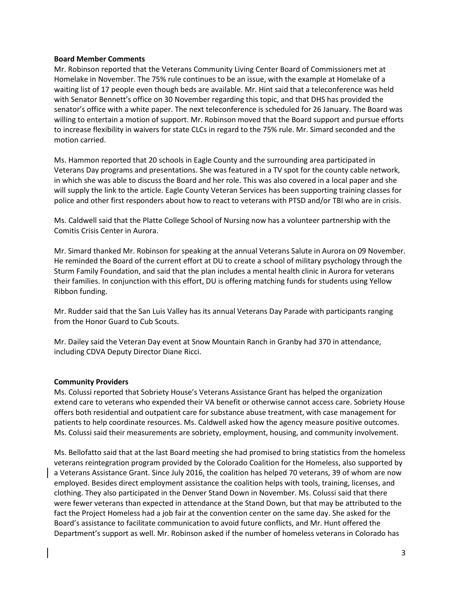## **Board Member Comments**

Mr. Robinson reported that the Veterans Community Living Center Board of Commissioners met at Homelake in November. The 75% rule continues to be an issue, with the example at Homelake of a waiting list of 17 people even though beds are available. Mr. Hint said that a teleconference was held with Senator Bennett's office on 30 November regarding this topic, and that DHS has provided the senator's office with a white paper. The next teleconference is scheduled for 26 January. The Board was willing to entertain a motion of support. Mr. Robinson moved that the Board support and pursue efforts to increase flexibility in waivers for state CLCs in regard to the 75% rule. Mr. Simard seconded and the motion carried.

Ms. Hammon reported that 20 schools in Eagle County and the surrounding area participated in Veterans Day programs and presentations. She was featured in a TV spot for the county cable network, in which she was able to discuss the Board and her role. This was also covered in a local paper and she will supply the link to the article. Eagle County Veteran Services has been supporting training classes for police and other first responders about how to react to veterans with PTSD and/or TBI who are in crisis.

Ms. Caldwell said that the Platte College School of Nursing now has a volunteer partnership with the Comitis Crisis Center in Aurora.

Mr. Simard thanked Mr. Robinson for speaking at the annual Veterans Salute in Aurora on 09 November. He reminded the Board of the current effort at DU to create a school of military psychology through the Sturm Family Foundation, and said that the plan includes a mental health clinic in Aurora for veterans their families. In conjunction with this effort, DU is offering matching funds for students using Yellow Ribbon funding.

Mr. Rudder said that the San Luis Valley has its annual Veterans Day Parade with participants ranging from the Honor Guard to Cub Scouts.

Mr. Dailey said the Veteran Day event at Snow Mountain Ranch in Granby had 370 in attendance, including CDVA Deputy Director Diane Ricci.

# **Community Providers**

Ms. Colussi reported that Sobriety House's Veterans Assistance Grant has helped the organization extend care to veterans who expended their VA benefit or otherwise cannot access care. Sobriety House offers both residential and outpatient care for substance abuse treatment, with case management for patients to help coordinate resources. Ms. Caldwell asked how the agency measure positive outcomes. Ms. Colussi said their measurements are sobriety, employment, housing, and community involvement.

Ms. Bellofatto said that at the last Board meeting she had promised to bring statistics from the homeless veterans reintegration program provided by the Colorado Coalition for the Homeless, also supported by a Veterans Assistance Grant. Since July 2016, the coalition has helped 70 veterans, 39 of whom are now employed. Besides direct employment assistance the coalition helps with tools, training, licenses, and clothing. They also participated in the Denver Stand Down in November. Ms. Colussi said that there were fewer veterans than expected in attendance at the Stand Down, but that may be attributed to the fact the Project Homeless had a job fair at the convention center on the same day. She asked for the Board's assistance to facilitate communication to avoid future conflicts, and Mr. Hunt offered the Department's support as well. Mr. Robinson asked if the number of homeless veterans in Colorado has